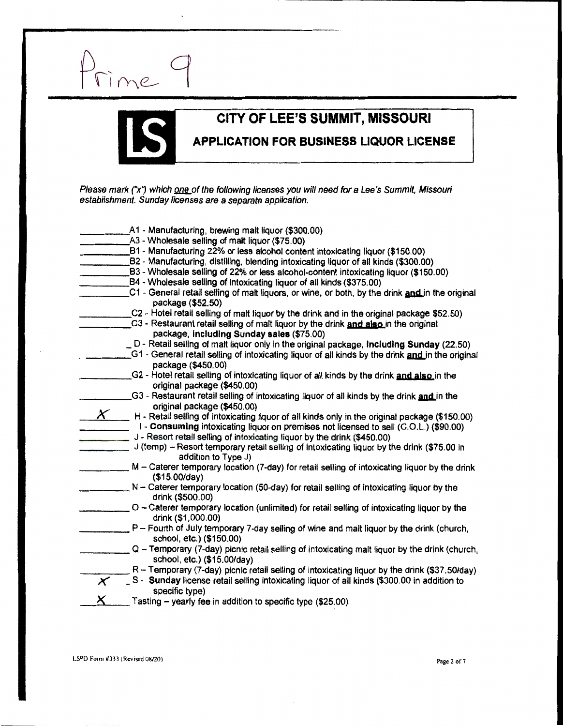



## **CITY OF LEE'S SUMMIT, MISSOURI<br>APPLICATION FOR BUSINESS LIQUOR LICEI APPLICATION FOR BUSINESS LIQUOR LICENSE**

Please mark ("x") which one of the following licenses you will need for a Lee's Summit, Missouri establishment. Sunday. licenses are *a:* separate application.

|                | A1 - Manufacturing, brewing malt liquor (\$300.00)<br>A3 - Wholesale seiling of malt liquor (\$75.00)                                                                  |
|----------------|------------------------------------------------------------------------------------------------------------------------------------------------------------------------|
|                | B1 - Manufacturing 22% or less alcohol content intoxicating liquor (\$150.00)                                                                                          |
|                | B2 - Manufacturing, distilling, blending intoxicating liquor of all kinds (\$300.00)                                                                                   |
|                | B3 - Wholesale selling of 22% or less alcohol-content intoxicating liquor (\$150.00)                                                                                   |
|                | B4 - Wholesale selling of intoxicating liquor of all kinds (\$375.00)                                                                                                  |
|                | C1 - General retail selling of malt liquors, or wine, or both, by the drink and in the original                                                                        |
|                | package (\$52.50)                                                                                                                                                      |
|                | C2 - Hotel retail selling of malt liquor by the drink and in the original package \$52.50)                                                                             |
|                | C3 - Restaurant retail selling of malt liquor by the drink and also in the original                                                                                    |
|                | package, including Sunday sales (\$75.00)                                                                                                                              |
|                | D - Retail selling of malt liquor only in the original package, including Sunday (22.50)                                                                               |
|                | G1 - General retail selling of intoxicating liquor of all kinds by the drink and in the original                                                                       |
|                | package (\$450.00)                                                                                                                                                     |
|                | G2 - Hotel retail selling of intoxicating liquor of all kinds by the drink and also in the                                                                             |
|                | original package (\$450.00)                                                                                                                                            |
|                | G3 - Restaurant retail selling of intoxicating liquor of all kinds by the drink and in the                                                                             |
| $\chi$         | original package (\$450.00)                                                                                                                                            |
|                | H - Retail selling of intoxicating liquor of all kinds only in the original package (\$150.00)                                                                         |
|                | I - Consuming intoxicating liquor on premises not licensed to sell (C.O.L.) (\$90.00)                                                                                  |
|                | J - Resort retail selling of intoxicating liquor by the drink (\$450.00)<br>J (temp) - Resort temporary retail selling of intoxicating liquor by the drink (\$75.00 in |
|                | addition to Type J)                                                                                                                                                    |
|                | M - Caterer temporary location (7-day) for retail selling of intoxicating liquor by the drink                                                                          |
|                | (\$15.00/day)                                                                                                                                                          |
|                | N - Caterer temporary location (50-day) for retail selling of intoxicating liquor by the                                                                               |
|                | drink (\$500.00)                                                                                                                                                       |
|                | O - Caterer temporary location (unlimited) for retail selling of intoxicating liquor by the                                                                            |
|                | drink (\$1,000.00)                                                                                                                                                     |
|                | P - Fourth of July temporary 7-day selling of wine and malt liquor by the drink (church,                                                                               |
|                | school, etc.) (\$150.00)                                                                                                                                               |
|                | Q - Temporary (7-day) picnic retail selling of intoxicating malt liquor by the drink (church,                                                                          |
|                | school, etc.) (\$15.00/day)<br>R - Temporary (7-day) picnic retail selling of intoxicating liquor by the drink (\$37.50/day)                                           |
| $\pmb{\times}$ | _ S - Sunday license retail selling intoxicating liquor of all kinds (\$300.00 in addition to                                                                          |
|                | specific type)                                                                                                                                                         |
| X.             | Tasting - yearly fee in addition to specific type (\$25.00)                                                                                                            |
|                |                                                                                                                                                                        |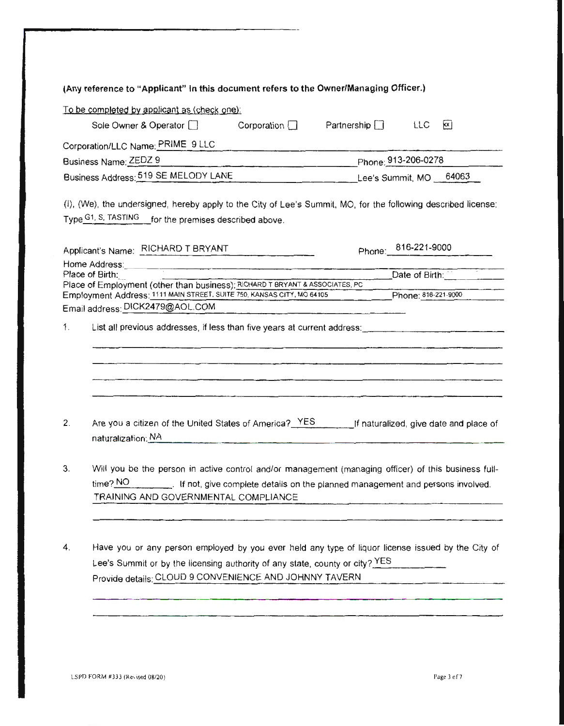|    | (Any reference to "Applicant" in this document refers to the Owner/Managing Officer.)                                                                                                                                                          |                                                  |  |
|----|------------------------------------------------------------------------------------------------------------------------------------------------------------------------------------------------------------------------------------------------|--------------------------------------------------|--|
|    | To be completed by applicant as (check one):                                                                                                                                                                                                   |                                                  |  |
|    | Corporation $\Box$<br>Sole Owner & Operator [                                                                                                                                                                                                  | Partnership $\Box$<br>$\mathsf{x}$<br><b>LLC</b> |  |
|    | Corporation/LLC Name: PRIME 9 LLC                                                                                                                                                                                                              |                                                  |  |
|    | Business Name: ZEDZ 9                                                                                                                                                                                                                          | Phone: 913-206-0278                              |  |
|    | Business Address: 519 SE MELODY LANE                                                                                                                                                                                                           |                                                  |  |
|    | (I), (We), the undersigned, hereby apply to the City of Lee's Summit, MO, for the following described license:<br>Type G1, S, TASTING for the premises described above.                                                                        |                                                  |  |
|    |                                                                                                                                                                                                                                                |                                                  |  |
|    | Applicant's Name: RICHARD T BRYANT<br><u> 1950 - Jan Barbara Barbara, manala</u>                                                                                                                                                               | Phone: 816-221-9000                              |  |
|    | Home Address: Note and the Community of the Community of the Community of the Community of the Community of the Community of the Community of the Community of the Community of the Community of the Community of the Communit                 |                                                  |  |
|    | Place of Birth:<br>Place of Employment (other than business); RICHARD T BRYANT & ASSOCIATES, PC                                                                                                                                                | Date of Birth:                                   |  |
|    | Employment Address: 1111 MAIN STREET, SUITE 750, KANSAS CITY, MO 64105                                                                                                                                                                         | Phone: 818-221-9000                              |  |
|    | Email address: DICK2479@AOL.COM                                                                                                                                                                                                                |                                                  |  |
| 1. |                                                                                                                                                                                                                                                |                                                  |  |
|    |                                                                                                                                                                                                                                                |                                                  |  |
|    |                                                                                                                                                                                                                                                |                                                  |  |
|    |                                                                                                                                                                                                                                                |                                                  |  |
|    |                                                                                                                                                                                                                                                |                                                  |  |
| 2. | Are you a citizen of the United States of America? YES [15] [15] If naturalized, give date and place of<br>naturalization: NA                                                                                                                  |                                                  |  |
| 3. | Will you be the person in active control and/or management (managing officer) of this business full-<br>$time$ ? NO<br>. If not, give complete details on the planned management and persons involved.<br>TRAINING AND GOVERNMENTAL COMPLIANCE |                                                  |  |
|    |                                                                                                                                                                                                                                                |                                                  |  |
| 4. | Have you or any person employed by you ever held any type of liquor license issued by the City of<br>Lee's Summit or by the licensing authority of any state, county or city? YES<br>Provide details: CLOUD 9 CONVENIENCE AND JOHNNY TAVERN    |                                                  |  |
|    |                                                                                                                                                                                                                                                |                                                  |  |
|    |                                                                                                                                                                                                                                                |                                                  |  |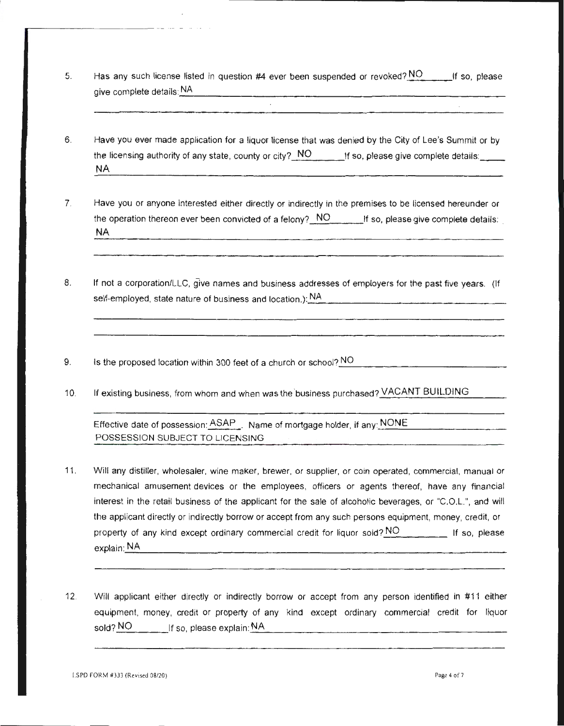5. Has any such license listed in question #4 ever been suspended or revoked? NO \_\_\_\_\_ lf so, please give complete details: NA

 $\mathcal{L}$ 

- 6. Have you ever made application for a liquor license that was denied by the City of Lee's Summit or by the licensing authority of any state, county or city? NO If so, please give complete details: NA
- 7. Have you or anyone interested either directly or indirectly in the premises to be licensed hereunder or the operation thereon ever been convicted of a felony? NO If so, please give complete details: NA
- 8. If not a corporation/LLC, give names and business addresses of employers for the past five years. (If self-employed, state nature of business and location.):.\_N\_A \_\_\_\_\_\_\_\_\_\_\_\_\_\_\_\_ \_
- 9. Is the proposed location within 300 feet of a church or school? NO
- 10. If existing business, from whom and when was the 'business purchased? VACANT BUILDING

Effective date of possession:  $ASAP$  . Name of mortgage holder, if any: NONE POSSESSION SUBJECT TO LICENSING

- 11 . Will any distiller, wholesaler, wine maker, brewer, or supplier, or coin operated, commercial, manual or mechanical amusement devices or the employees, officers or agents thereof, have any financial interest in the retail business of the applicant for the sale of alcoholic beverages, or "C.O.L.", and will the applicant directly or indirectly borrow or accept from any such persons equipment, money, credit, or property of any kind except ordinary commercial credit for liquor sold?  $NO$  If so, please explain:\_N\_A \_\_\_\_\_\_\_\_\_\_\_\_\_\_\_\_\_\_\_\_\_\_\_\_\_\_\_\_\_\_\_\_\_ \_
- 12. Will applicant either directly or indirectly borrow or accept from any person identified in #11 either equipment, money, credit or property of any kind except ordinary commercial credit for liquor sold? NO If so, please explain:\_N\_A \_\_\_\_\_\_\_\_\_\_\_\_\_\_\_\_\_\_\_\_\_ \_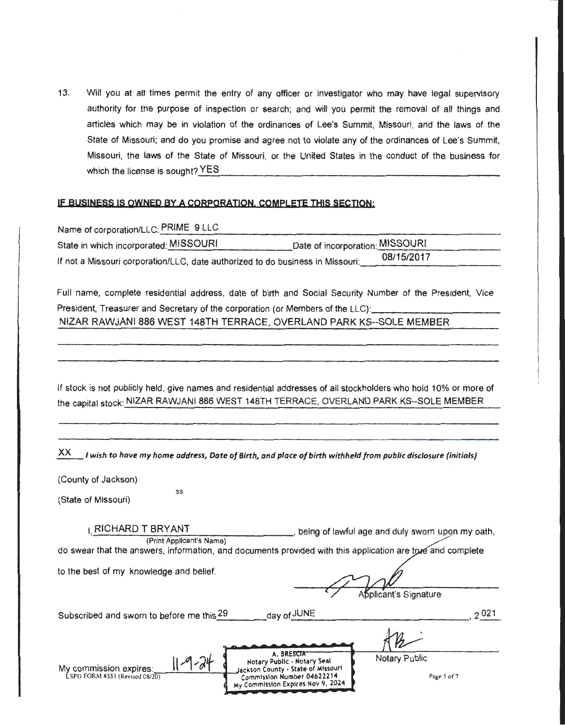13. Will you at all times permit the entry of any officer or investigator who may have legal supervisory authority for the purpose of inspection or search; and will you permit the removal of all things and articles which may be in violation of the ordinances of Lee's Summit, Missouri, and the laws of the State of Missouri; and do you promise and agree not to violate any of the ordinances of Lee's Summit, Missouri, the laws of the State of Missouri, or the United States in the conduct of the business for which the license is sought? YES

#### **IE BUSINESS IS OWNED BY A CORPORATION. COMPLETE THIS SECTION:**

| Name of corporation/LLC: PRIME 9 LLC                                           |                                 |
|--------------------------------------------------------------------------------|---------------------------------|
| State in which incorporated: MISSOURI                                          | Date of incorporation: MISSOURI |
| If not a Missouri corporation/LLC, date authorized to do business in Missouri. | 08/15/2017                      |

Full name, complete residential address, date of birth and Social Security Number of the President, Vice President, Treasurer and Secretary of the corporation (or Members of the LLC): NIZAR RAWJANI 886 WEST 148TH TERRACE, OVERLAND PARK KS--SOLE MEMBER

If stock is not publicly held, give names and residential addresses of all stockholders who hold 10% or more of the capital stock: NIZAR RAWJANI 886 WEST 148TH TERRACE, OVERLAND PARK KS--SOLE MEMBER

| XX.<br>I wish to have my home address, Date of Birth, and place of birth withheld from public disclosure (initials)                                                                                                            |                                                    |
|--------------------------------------------------------------------------------------------------------------------------------------------------------------------------------------------------------------------------------|----------------------------------------------------|
| (County of Jackson)<br>SS<br>(State of Missouri)                                                                                                                                                                               |                                                    |
| LRICHARD T BRYANT<br>(Print Applicant's Name)<br>do swear that the answers, information, and documents provided with this application are true and complete                                                                    | , being of lawful age and duly sworn upon my oath, |
| to the best of my knowledge and belief.                                                                                                                                                                                        | Applicant's Signature                              |
| day of JUNE<br>Subscribed and sworn to before me this 29                                                                                                                                                                       | 2021                                               |
| A. BRESCIA<br>$1 - 9 - 24$<br>Notary Public - Notary Seal<br>My commission expires:<br>Jackson County - State of Missouri<br>Commission Number 04622214<br>LSPD FORM #333 (Revised 08/20)<br>My Commission Expires Nov 9, 2024 | Notary Public<br>Page 5 of 7                       |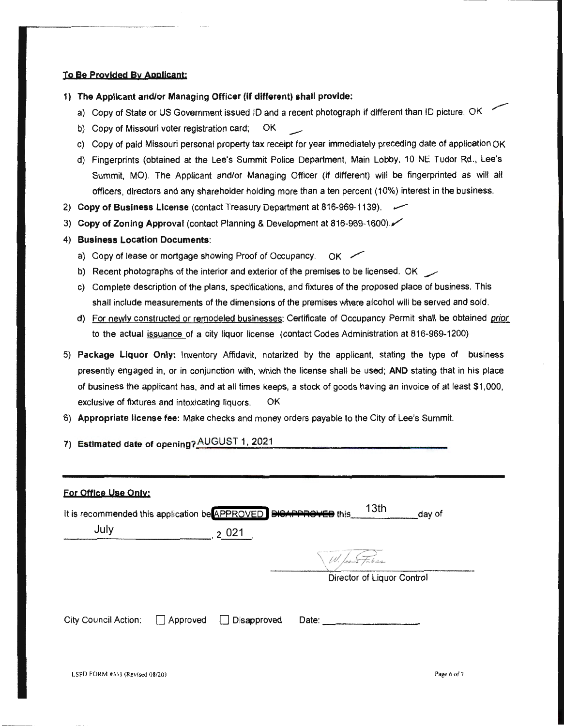#### **To Be proylded By Applicant:**

---------- - - - - - --

- **1) The Applicant and/or Managing Officer (if different) shall provide:** 
	- a) Copy of State or US Government issued ID and a recent photograph if different than ID picture; OK
	- b) Copy of Missouri voter registration card; OK
	- c) Copy of paid Missouri personal property tax receipt for year immediately preceding date of application OK
	- d) Fingerprints (obtained at the Lee's Summit Police Department, Main Lobby, 10 NE Tudor Rd., Lee's Summit, MO). The Applicant and/or Managing Officer (if different) will be fingerprinted as will all officers, directors and any shareholder holding more than a ten percent (10%) interest in the business.
- 2) Copy of Business License (contact Treasury Department at 816-969-1139).
- 3) **Copy of Zoning Approval** (contact Planning & Development at 816-969-1600)./
- **4) Business Location Documents:** 
	- a) Copy of lease or mortgage showing Proof of Occupancy.  $\overline{OK}$
	- b) Recent photographs of the interior and exterior of the premises to be licensed. OK  $\sim$
	- c) Complete description of the plans, specifications, and fixtures of the proposed place of business. This shall include measurements of the dimensions of the premises where alcohol will be served and sold.
	- d) For newly constructed or remodeled businesses: Certificate of Occupancy Permit shall be obtained prior to the actual issuance of a city liquor license (contact Codes Administration at 816-969-1200)
- 5) **Package Liquor Only:** Inventory Affidavit, notarized by the applicant, stating the type of business presently engaged in, or in conjunction with, which the license shall be used; **AND** stating that in his place of business the applicant has, and at all times keeps, a stock of goods having an invoice of at least \$1,000, exclusive of fixtures and intoxicating liquors. OK
- 6) **Appropriate license fee:** Make checks and money orders payable to the City of Lee's Summit.
- 7) Estimated date of opening? AUGUST 1, 2021

| For Office Use Only:                                                                               |                 |                    |                |                            |
|----------------------------------------------------------------------------------------------------|-----------------|--------------------|----------------|----------------------------|
| It is recommended this application be APPROVED DISAPPROVED this 13th<br>day of<br>July<br>$2021$ . |                 |                    |                |                            |
|                                                                                                    |                 |                    | W. havis Faber | Director of Liquor Control |
| <b>City Council Action:</b>                                                                        | $\Box$ Approved | $\Box$ Disapproved | Date:          |                            |